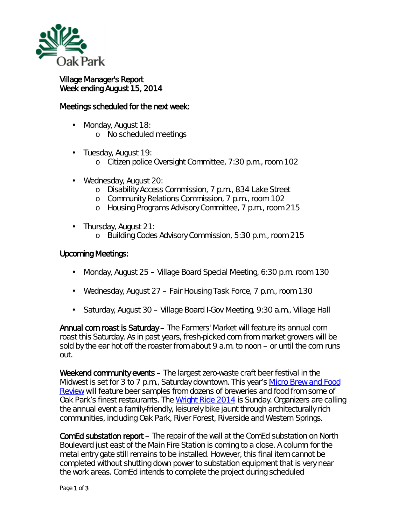

## Village Manager's Report Week ending August 15, 2014

## Meetings scheduled for the next week:

- Monday, August 18: o No scheduled meetings
- Tuesday, August 19:
	- o Citizen police Oversight Committee, 7:30 p.m., room 102
- ä, Wednesday, August 20:
	- o Disability Access Commission, 7 p.m., 834 Lake Street
	- o Community Relations Commission, 7 p.m., room 102
	- o Housing Programs Advisory Committee, 7 p.m., room 215
- Thursday, August 21:
	- o Building Codes Advisory Commission, 5:30 p.m., room 215

## Upcoming Meetings:

- Monday, August 25 Village Board Special Meeting, 6:30 p.m. room 130 ä,
- Wednesday, August 27 Fair Housing Task Force, 7 p.m., room 130
- Saturday, August 30 Village Board I-Gov Meeting, 9:30 a.m., Village Hall

Annual corn roast is Saturday - The Farmers' Market will feature its annual corn roast this Saturday. As in past years, fresh-picked corn from market growers will be sold by the ear hot off the roaster from about 9 a.m. to noon – or until the corn runs out.

Weekend community events – The largest zero-waste craft beer festival in the Midwest is set for 3 to 7 p.m., Saturday downtown. This year's *[Micro Brew and Food](https://sevengenerationsahead.org/events/oak-park-microbrew-and-food-review/)  [Review](https://sevengenerationsahead.org/events/oak-park-microbrew-and-food-review/)* will feature beer samples from dozens of breweries and food from some of Oak Park's finest restaurants. The *[Wright Ride 2014](http://www.oakparkcycleclub.org/wright_ride)* is Sunday. Organizers are calling the annual event a family-friendly, leisurely bike jaunt through architecturally rich communities, including Oak Park, River Forest, Riverside and Western Springs.

ComEd substation report – The repair of the wall at the ComEd substation on North Boulevard just east of the Main Fire Station is coming to a close. A column for the metal entry gate still remains to be installed. However, this final item cannot be completed without shutting down power to substation equipment that is very near the work areas. ComEd intends to complete the project during scheduled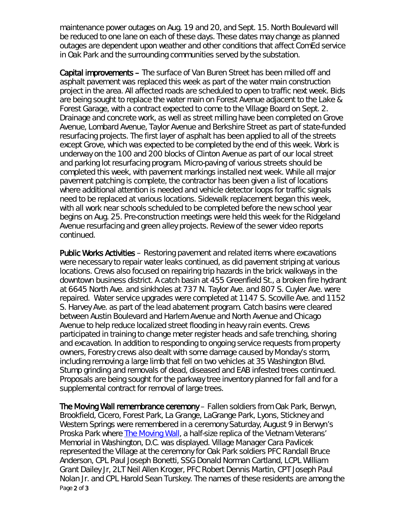maintenance power outages on Aug. 19 and 20, and Sept. 15. North Boulevard will be reduced to one lane on each of these days. These dates may change as planned outages are dependent upon weather and other conditions that affect ComEd service in Oak Park and the surrounding communities served by the substation.

Capital improvements – The surface of Van Buren Street has been milled off and asphalt pavement was replaced this week as part of the water main construction project in the area. All affected roads are scheduled to open to traffic next week. Bids are being sought to replace the water main on Forest Avenue adjacent to the Lake & Forest Garage, with a contract expected to come to the Village Board on Sept. 2. Drainage and concrete work, as well as street milling have been completed on Grove Avenue, Lombard Avenue, Taylor Avenue and Berkshire Street as part of state-funded resurfacing projects. The first layer of asphalt has been applied to all of the streets except Grove, which was expected to be completed by the end of this week. Work is underway on the 100 and 200 blocks of Clinton Avenue as part of our local street and parking lot resurfacing program. Micro-paving of various streets should be completed this week, with pavement markings installed next week. While all major pavement patching is complete, the contractor has been given a list of locations where additional attention is needed and vehicle detector loops for traffic signals need to be replaced at various locations. Sidewalk replacement began this week, with all work near schools scheduled to be completed before the new school year begins on Aug. 25. Pre-construction meetings were held this week for the Ridgeland Avenue resurfacing and green alley projects. Review of the sewer video reports continued.

Public Works Activities – Restoring pavement and related items where excavations were necessary to repair water leaks continued, as did pavement striping at various locations. Crews also focused on repairing trip hazards in the brick walkways in the downtown business district. A catch basin at 455 Greenfield St., a broken fire hydrant at 6645 North Ave. and sinkholes at 737 N. Taylor Ave. and 807 S. Cuyler Ave. were repaired. Water service upgrades were completed at 1147 S. Scoville Ave. and 1152 S. Harvey Ave. as part of the lead abatement program. Catch basins were cleared between Austin Boulevard and Harlem Avenue and North Avenue and Chicago Avenue to help reduce localized street flooding in heavy rain events. Crews participated in training to change meter register heads and safe trenching, shoring and excavation. In addition to responding to ongoing service requests from property owners, Forestry crews also dealt with some damage caused by Monday's storm, including removing a large limb that fell on two vehicles at 35 Washington Blvd. Stump grinding and removals of dead, diseased and EAB infested trees continued. Proposals are being sought for the parkway tree inventory planned for fall and for a supplemental contract for removal of large trees.

Page 2 of 3 The Moving Wall remembrance ceremony – Fallen soldiers from Oak Park, Berwyn, Brookfield, Cicero, Forest Park, La Grange, LaGrange Park, Lyons, Stickney and Western Springs were remembered in a ceremony Saturday, August 9 in Berwyn's Proska Park where **The Moving Wall**, a half-size replica of the Vietnam Veterans' Memorial in Washington, D.C. was displayed. Village Manager Cara Pavlicek represented the Village at the ceremony for Oak Park soldiers PFC Randall Bruce Anderson, CPL Paul Joseph Bonetti, SSG Donald Norman Cartland, LCPL William Grant Dailey Jr, 2LT Neil Allen Kroger, PFC Robert Dennis Martin, CPT Joseph Paul Nolan Jr. and CPL Harold Sean Turskey. The names of these residents are among the